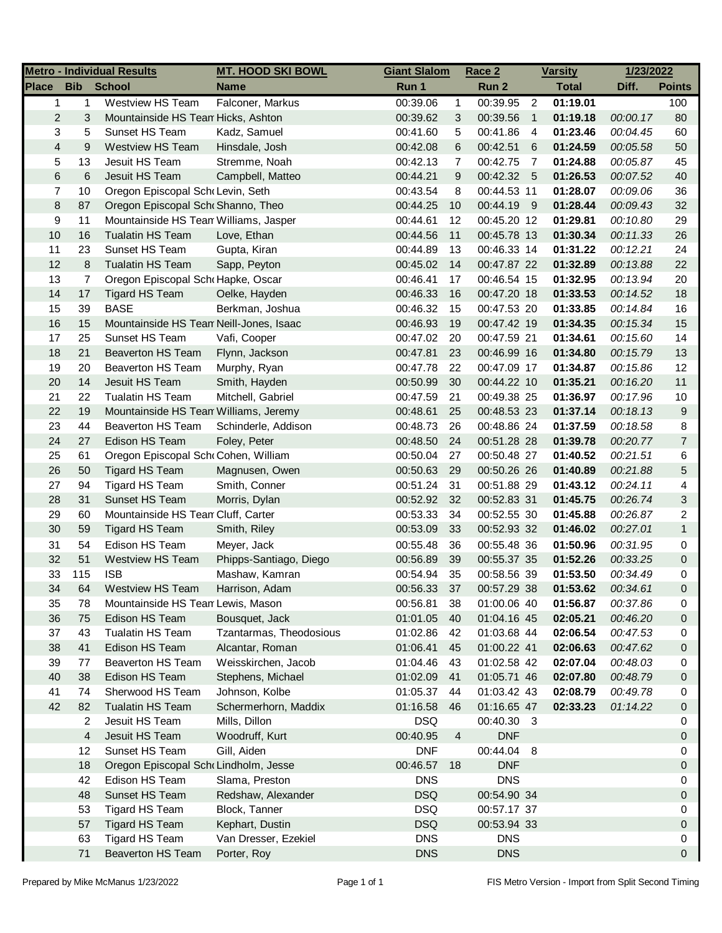| <b>Metro - Individual Results</b> |            |                                         | <b>MT. HOOD SKI BOWL</b><br><b>Giant Slalom</b> |            | Race 2<br><b>Varsity</b> |             |                | 1/23/2022    |          |                |
|-----------------------------------|------------|-----------------------------------------|-------------------------------------------------|------------|--------------------------|-------------|----------------|--------------|----------|----------------|
| <b>Place</b>                      | <b>Bib</b> | <b>School</b>                           | <b>Name</b>                                     | Run 1      |                          | Run 2       |                | <b>Total</b> | Diff.    | <b>Points</b>  |
| $\mathbf{1}$                      | 1          | Westview HS Team                        | Falconer, Markus                                | 00:39.06   | $\mathbf{1}$             | 00:39.95    | $\overline{2}$ | 01:19.01     |          | 100            |
| $\overline{c}$                    | 3          | Mountainside HS Tean Hicks, Ashton      |                                                 | 00:39.62   | 3                        | 00:39.56    | $\overline{1}$ | 01:19.18     | 00:00.17 | 80             |
| 3                                 | 5          | Sunset HS Team                          | Kadz, Samuel                                    | 00:41.60   | 5                        | 00:41.86    | $\overline{4}$ | 01:23.46     | 00:04.45 | 60             |
| $\overline{4}$                    | 9          | <b>Westview HS Team</b>                 | Hinsdale, Josh                                  | 00:42.08   | 6                        | 00:42.51    | 6              | 01:24.59     | 00:05.58 | 50             |
| 5                                 | 13         | Jesuit HS Team                          | Stremme, Noah                                   | 00:42.13   | 7                        | 00:42.75    | $\overline{7}$ | 01:24.88     | 00:05.87 | 45             |
| $\,6$                             | 6          | Jesuit HS Team                          | Campbell, Matteo                                | 00:44.21   | 9                        | 00:42.32 5  |                | 01:26.53     | 00:07.52 | 40             |
| 7                                 | 10         | Oregon Episcopal Sch Levin, Seth        |                                                 | 00:43.54   | 8                        | 00:44.53 11 |                | 01:28.07     | 00:09.06 | 36             |
| 8                                 | 87         | Oregon Episcopal Sch Shanno, Theo       |                                                 | 00:44.25   | 10                       | 00:44.19 9  |                | 01:28.44     | 00:09.43 | 32             |
| 9                                 | 11         | Mountainside HS Tean Williams, Jasper   |                                                 | 00:44.61   | 12                       | 00:45.20 12 |                | 01:29.81     | 00:10.80 | 29             |
| 10                                | 16         | Tualatin HS Team                        | Love, Ethan                                     | 00:44.56   | 11                       | 00:45.78 13 |                | 01:30.34     | 00:11.33 | 26             |
| 11                                | 23         | Sunset HS Team                          | Gupta, Kiran                                    | 00:44.89   | 13                       | 00:46.33 14 |                | 01:31.22     | 00:12.21 | 24             |
| 12                                | 8          | Tualatin HS Team                        | Sapp, Peyton                                    | 00:45.02   | 14                       | 00:47.87 22 |                | 01:32.89     | 00:13.88 | 22             |
| 13                                | 7          | Oregon Episcopal Schr Hapke, Oscar      |                                                 | 00:46.41   | 17                       | 00:46.54 15 |                | 01:32.95     | 00:13.94 | 20             |
| 14                                | 17         | <b>Tigard HS Team</b>                   | Oelke, Hayden                                   | 00:46.33   | 16                       | 00:47.20 18 |                | 01:33.53     | 00:14.52 | 18             |
| 15                                | 39         | <b>BASE</b>                             | Berkman, Joshua                                 | 00:46.32   | 15                       | 00:47.53 20 |                | 01:33.85     | 00:14.84 | 16             |
| 16                                | 15         | Mountainside HS Tean Neill-Jones, Isaac |                                                 | 00:46.93   | 19                       | 00:47.42 19 |                | 01:34.35     | 00:15.34 | 15             |
| 17                                | 25         | Sunset HS Team                          | Vafi, Cooper                                    | 00:47.02   | 20                       | 00:47.59 21 |                | 01:34.61     | 00:15.60 | 14             |
| 18                                | 21         | Beaverton HS Team                       | Flynn, Jackson                                  | 00:47.81   | 23                       | 00:46.99 16 |                | 01:34.80     | 00:15.79 | 13             |
| 19                                | 20         | Beaverton HS Team                       | Murphy, Ryan                                    | 00:47.78   | 22                       | 00:47.09 17 |                | 01:34.87     | 00:15.86 | 12             |
| 20                                | 14         | Jesuit HS Team                          | Smith, Hayden                                   | 00:50.99   | 30                       | 00:44.22 10 |                | 01:35.21     | 00:16.20 | 11             |
| 21                                | 22         | <b>Tualatin HS Team</b>                 | Mitchell, Gabriel                               | 00:47.59   | 21                       | 00:49.38 25 |                | 01:36.97     | 00:17.96 | 10             |
| 22                                | 19         | Mountainside HS Tean Williams, Jeremy   |                                                 | 00:48.61   | 25                       | 00:48.53 23 |                | 01:37.14     | 00:18.13 | 9              |
| 23                                | 44         | Beaverton HS Team                       | Schinderle, Addison                             | 00:48.73   | 26                       | 00:48.86 24 |                | 01:37.59     | 00:18.58 | 8              |
| 24                                | 27         | Edison HS Team                          | Foley, Peter                                    | 00:48.50   | 24                       | 00:51.28 28 |                | 01:39.78     | 00:20.77 | $\overline{7}$ |
| 25                                | 61         | Oregon Episcopal Sch Cohen, William     |                                                 | 00:50.04   | 27                       | 00:50.48 27 |                | 01:40.52     | 00:21.51 | 6              |
| 26                                | 50         | <b>Tigard HS Team</b>                   | Magnusen, Owen                                  | 00:50.63   | 29                       | 00:50.26 26 |                | 01:40.89     | 00:21.88 | 5              |
| 27                                | 94         | Tigard HS Team                          | Smith, Conner                                   | 00:51.24   | 31                       | 00:51.88 29 |                | 01:43.12     | 00:24.11 | 4              |
| 28                                | 31         | Sunset HS Team                          | Morris, Dylan                                   | 00:52.92   | 32                       | 00:52.83 31 |                | 01:45.75     | 00:26.74 | 3              |
| 29                                | 60         | Mountainside HS Tean Cluff, Carter      |                                                 | 00:53.33   | 34                       | 00:52.55 30 |                | 01:45.88     | 00:26.87 | 2              |
| 30                                | 59         | Tigard HS Team                          | Smith, Riley                                    | 00:53.09   | 33                       | 00:52.93 32 |                | 01:46.02     | 00:27.01 | $\mathbf{1}$   |
| 31                                | 54         | Edison HS Team                          | Meyer, Jack                                     | 00:55.48   | 36                       | 00:55.48 36 |                | 01:50.96     | 00:31.95 | 0              |
| 32                                | 51         | <b>Westview HS Team</b>                 | Phipps-Santiago, Diego                          | 00:56.89   | 39                       | 00:55.37 35 |                | 01:52.26     | 00:33.25 | 0              |
| 33                                | 115        | <b>ISB</b>                              | Mashaw, Kamran                                  | 00:54.94   | 35                       | 00:58.56 39 |                | 01:53.50     | 00:34.49 | 0              |
| 34                                | 64         | <b>Westview HS Team</b>                 | Harrison. Adam                                  | 00:56.33   | 37                       | 00:57.29 38 |                | 01:53.62     | 00:34.61 | 0              |
| 35                                | 78         | Mountainside HS Tean Lewis, Mason       |                                                 | 00:56.81   | 38                       | 01:00.06 40 |                | 01:56.87     | 00:37.86 | 0              |
| 36                                | 75         | Edison HS Team                          | Bousquet, Jack                                  | 01:01.05   | 40                       | 01:04.16 45 |                | 02:05.21     | 00:46.20 | 0              |
| 37                                | 43         | Tualatin HS Team                        | Tzantarmas, Theodosious                         | 01:02.86   | 42                       | 01:03.68 44 |                | 02:06.54     | 00:47.53 | 0              |
| 38                                | 41         | Edison HS Team                          | Alcantar, Roman                                 | 01:06.41   | 45                       | 01:00.22 41 |                | 02:06.63     | 00:47.62 | 0              |
| 39                                | 77         | Beaverton HS Team                       | Weisskirchen, Jacob                             | 01:04.46   | 43                       | 01:02.58 42 |                | 02:07.04     | 00:48.03 | 0              |
| 40                                | 38         | Edison HS Team                          | Stephens, Michael                               | 01:02.09   | 41                       | 01:05.71 46 |                | 02:07.80     | 00:48.79 | 0              |
| 41                                | 74         | Sherwood HS Team                        | Johnson, Kolbe                                  | 01:05.37   | 44                       | 01:03.42 43 |                | 02:08.79     | 00:49.78 | 0              |
| 42                                | 82         | Tualatin HS Team                        | Schermerhorn, Maddix                            | 01:16.58   | 46                       | 01:16.65 47 |                | 02:33.23     | 01:14.22 | 0              |
|                                   | 2          | Jesuit HS Team                          | Mills, Dillon                                   | <b>DSQ</b> |                          | 00:40.30 3  |                |              |          | 0              |
|                                   | 4          | Jesuit HS Team                          | Woodruff, Kurt                                  | 00:40.95   | 4                        | <b>DNF</b>  |                |              |          | 0              |
|                                   | 12         | Sunset HS Team                          | Gill, Aiden                                     | <b>DNF</b> |                          | 00:44.04    | - 8            |              |          | 0              |
|                                   | 18         | Oregon Episcopal Sch Lindholm, Jesse    |                                                 | 00:46.57   | 18                       | <b>DNF</b>  |                |              |          | 0              |
|                                   | 42         | Edison HS Team                          | Slama, Preston                                  | <b>DNS</b> |                          | <b>DNS</b>  |                |              |          | 0              |
|                                   | 48         | Sunset HS Team                          | Redshaw, Alexander                              | <b>DSQ</b> |                          | 00:54.90 34 |                |              |          | 0              |
|                                   | 53         | Tigard HS Team                          | Block, Tanner                                   | <b>DSQ</b> |                          | 00:57.17 37 |                |              |          | 0              |
|                                   | 57         | <b>Tigard HS Team</b>                   | Kephart, Dustin                                 | <b>DSQ</b> |                          | 00:53.94 33 |                |              |          | 0              |
|                                   | 63         | Tigard HS Team                          | Van Dresser, Ezekiel                            | <b>DNS</b> |                          | <b>DNS</b>  |                |              |          | 0              |
|                                   | 71         | <b>Beaverton HS Team</b>                | Porter, Roy                                     | <b>DNS</b> |                          | <b>DNS</b>  |                |              |          | 0              |